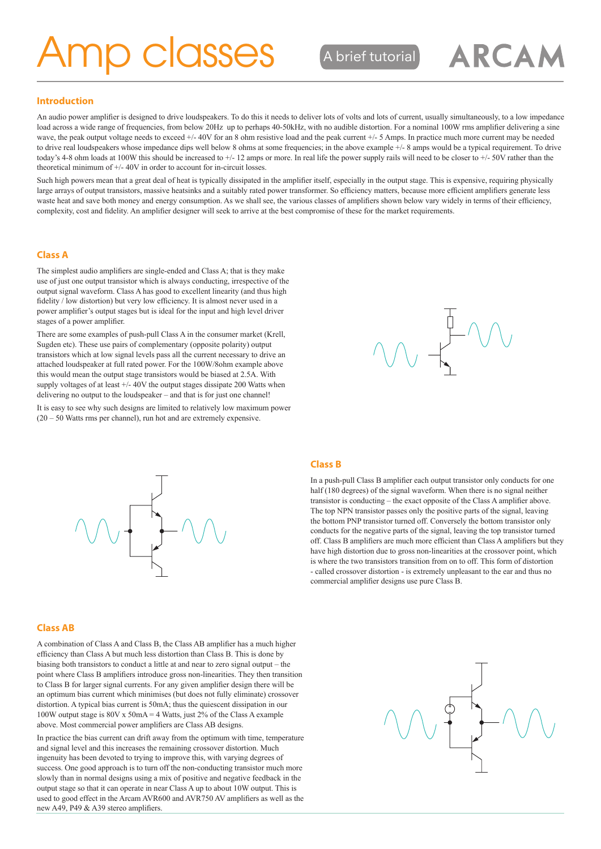# **AD COSSES** Abrief tutorial

### **Introduction**

An audio power amplifier is designed to drive loudspeakers. To do this it needs to deliver lots of volts and lots of current, usually simultaneously, to a low impedance load across a wide range of frequencies, from below 20Hz up to perhaps 40-50kHz, with no audible distortion. For a nominal 100W rms amplifier delivering a sine wave, the peak output voltage needs to exceed +/- 40V for an 8 ohm resistive load and the peak current +/- 5 Amps. In practice much more current may be needed to drive real loudspeakers whose impedance dips well below 8 ohms at some frequencies; in the above example  $+/-$  8 amps would be a typical requirement. To drive today's 4-8 ohm loads at 100W this should be increased to +/- 12 amps or more. In real life the power supply rails will need to be closer to +/- 50V rather than the theoretical minimum of +/- 40V in order to account for in-circuit losses.

Such high powers mean that a great deal of heat is typically dissipated in the amplifier itself, especially in the output stage. This is expensive, requiring physically large arrays of output transistors, massive heatsinks and a suitably rated power transformer. So efficiency matters, because more efficient amplifiers generate less waste heat and save both money and energy consumption. As we shall see, the various classes of amplifiers shown below vary widely in terms of their efficiency, complexity, cost and fidelity. An amplifier designer will seek to arrive at the best compromise of these for the market requirements.

#### **Class A**

The simplest audio amplifiers are single-ended and Class A; that is they make use of just one output transistor which is always conducting, irrespective of the output signal waveform. Class A has good to excellent linearity (and thus high fidelity / low distortion) but very low efficiency. It is almost never used in a power amplifier's output stages but is ideal for the input and high level driver stages of a power amplifier.

There are some examples of push-pull Class A in the consumer market (Krell, Sugden etc). These use pairs of complementary (opposite polarity) output transistors which at low signal levels pass all the current necessary to drive an attached loudspeaker at full rated power. For the 100W/8ohm example above this would mean the output stage transistors would be biased at 2.5A. With supply voltages of at least +/- 40V the output stages dissipate 200 Watts when delivering no output to the loudspeaker – and that is for just one channel!

It is easy to see why such designs are limited to relatively low maximum power (20 – 50 Watts rms per channel), run hot and are extremely expensive.



ARCAM



#### **Class AB**

A combination of Class A and Class B, the Class AB amplifier has a much higher efficiency than Class A but much less distortion than Class B. This is done by biasing both transistors to conduct a little at and near to zero signal output – the point where Class B amplifiers introduce gross non-linearities. They then transition to Class B for larger signal currents. For any given amplifier design there will be an optimum bias current which minimises (but does not fully eliminate) crossover distortion. A typical bias current is 50mA; thus the quiescent dissipation in our 100W output stage is 80V x 50mA = 4 Watts, just 2% of the Class A example above. Most commercial power amplifiers are Class AB designs.

In practice the bias current can drift away from the optimum with time, temperature and signal level and this increases the remaining crossover distortion. Much ingenuity has been devoted to trying to improve this, with varying degrees of success. One good approach is to turn off the non-conducting transistor much more slowly than in normal designs using a mix of positive and negative feedback in the output stage so that it can operate in near Class A up to about 10W output. This is used to good effect in the Arcam AVR600 and AVR750 AV amplifiers as well as the new A49, P49 & A39 stereo amplifiers.

#### **Class B**

In a push-pull Class B amplifier each output transistor only conducts for one half (180 degrees) of the signal waveform. When there is no signal neither transistor is conducting – the exact opposite of the Class A amplifier above. The top NPN transistor passes only the positive parts of the signal, leaving the bottom PNP transistor turned off. Conversely the bottom transistor only conducts for the negative parts of the signal, leaving the top transistor turned off. Class B amplifiers are much more efficient than Class A amplifiers but they have high distortion due to gross non-linearities at the crossover point, which is where the two transistors transition from on to off. This form of distortion - called crossover distortion - is extremely unpleasant to the ear and thus no commercial amplifier designs use pure Class B.